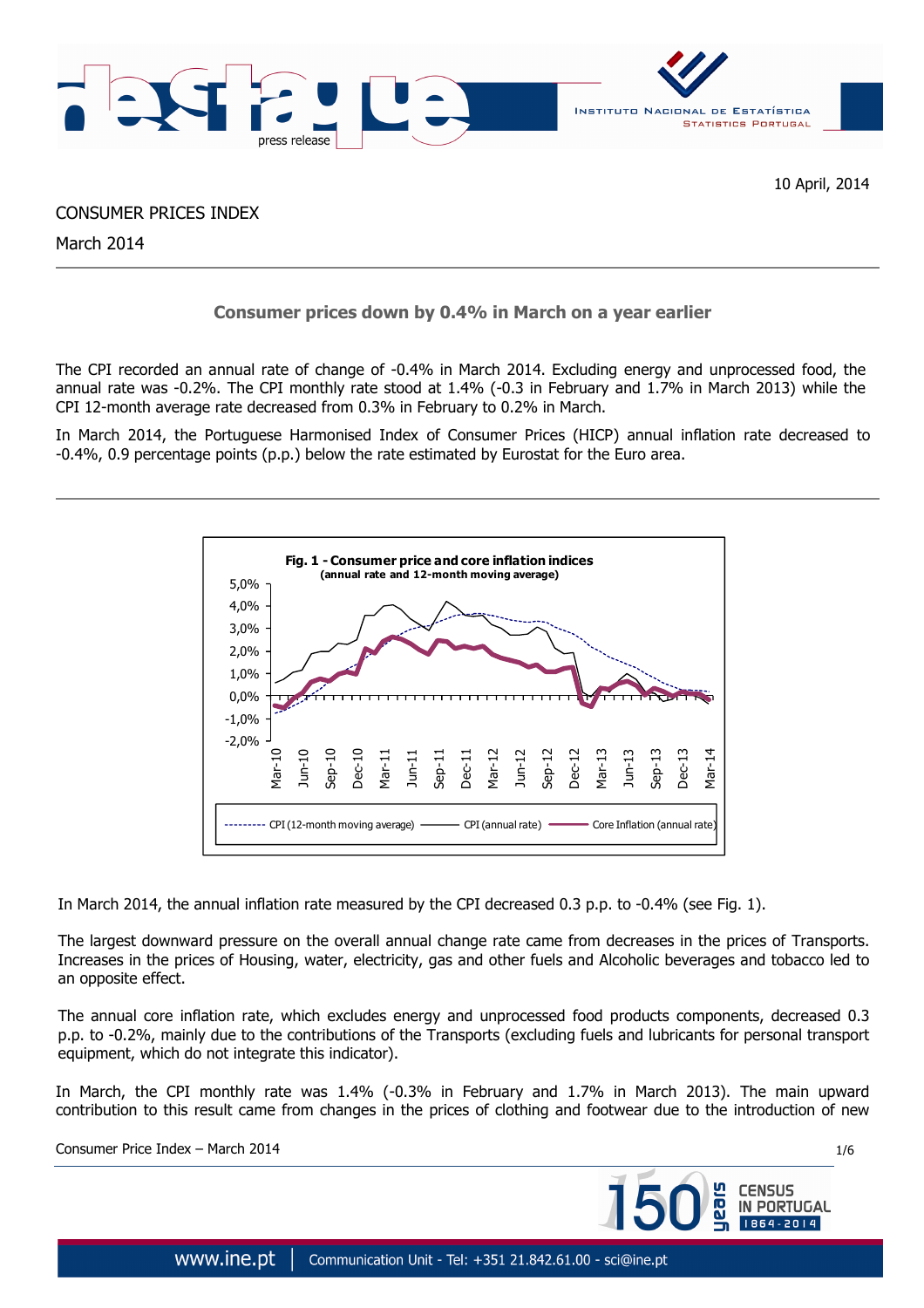

CONSUMER PRICES INDEX

March 2014

# **Consumer prices down by 0.4% in March on a year earlier**

The CPI recorded an annual rate of change of -0.4% in March 2014. Excluding energy and unprocessed food, the annual rate was -0.2%. The CPI monthly rate stood at 1.4% (-0.3 in February and 1.7% in March 2013) while the CPI 12-month average rate decreased from 0.3% in February to 0.2% in March.

In March 2014, the Portuguese Harmonised Index of Consumer Prices (HICP) annual inflation rate decreased to -0.4%, 0.9 percentage points (p.p.) below the rate estimated by Eurostat for the Euro area.



In March 2014, the annual inflation rate measured by the CPI decreased 0.3 p.p. to -0.4% (see Fig. 1).

The largest downward pressure on the overall annual change rate came from decreases in the prices of Transports. Increases in the prices of Housing, water, electricity, gas and other fuels and Alcoholic beverages and tobacco led to an opposite effect.

The annual core inflation rate, which excludes energy and unprocessed food products components, decreased 0.3 p.p. to -0.2%, mainly due to the contributions of the Transports (excluding fuels and lubricants for personal transport equipment, which do not integrate this indicator).

In March, the CPI monthly rate was 1.4% (-0.3% in February and 1.7% in March 2013). The main upward contribution to this result came from changes in the prices of clothing and footwear due to the introduction of new

Consumer Price Index – March 2014 1/6

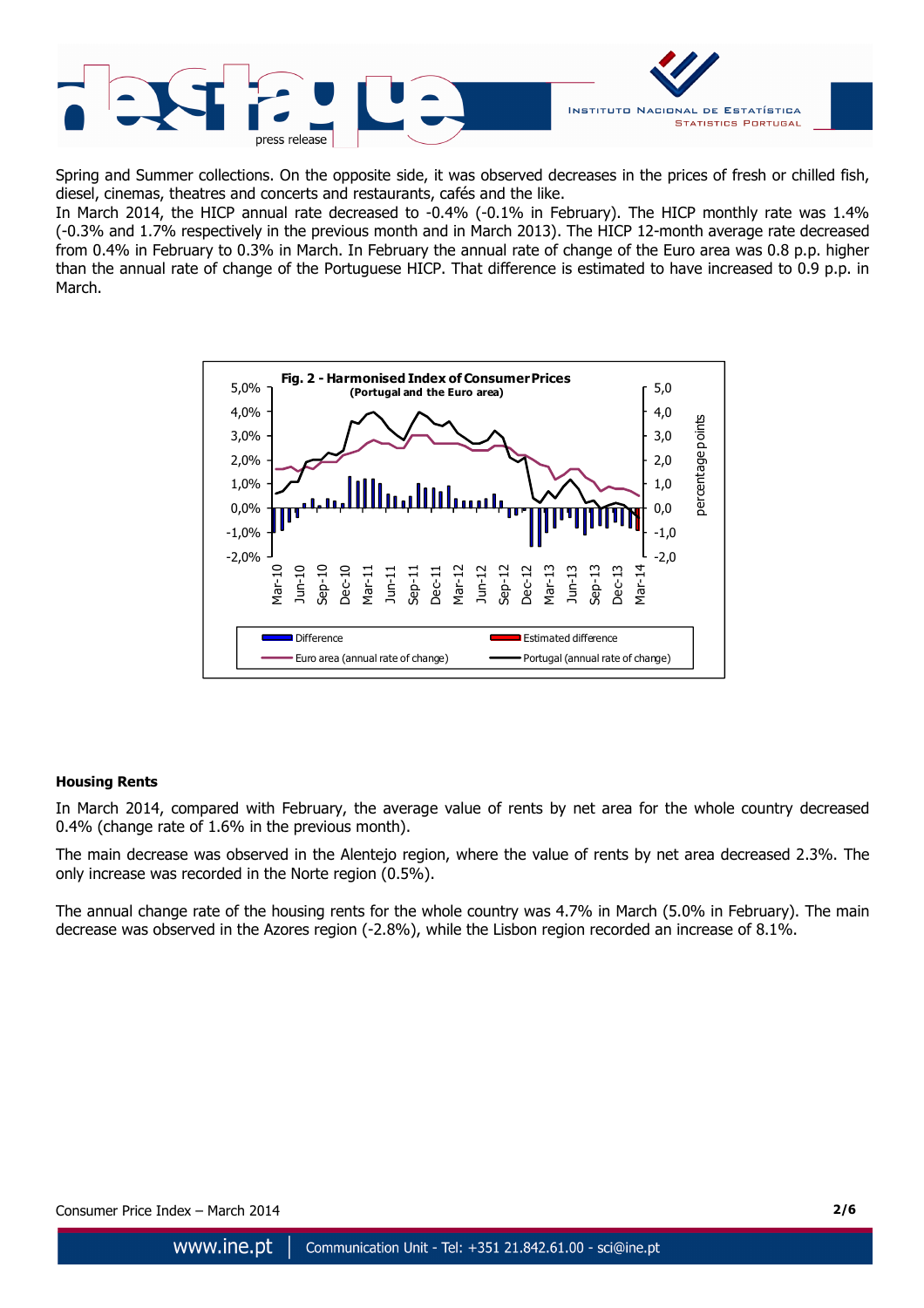

Spring and Summer collections. On the opposite side, it was observed decreases in the prices of fresh or chilled fish, diesel, cinemas, theatres and concerts and restaurants, cafés and the like.

In March 2014, the HICP annual rate decreased to -0.4% (-0.1% in February). The HICP monthly rate was 1.4% (-0.3% and 1.7% respectively in the previous month and in March 2013). The HICP 12-month average rate decreased from 0.4% in February to 0.3% in March. In February the annual rate of change of the Euro area was 0.8 p.p. higher than the annual rate of change of the Portuguese HICP. That difference is estimated to have increased to 0.9 p.p. in March.



## **Housing Rents**

In March 2014, compared with February, the average value of rents by net area for the whole country decreased 0.4% (change rate of 1.6% in the previous month).

The main decrease was observed in the Alentejo region, where the value of rents by net area decreased 2.3%. The only increase was recorded in the Norte region (0.5%).

The annual change rate of the housing rents for the whole country was 4.7% in March (5.0% in February). The main decrease was observed in the Azores region (-2.8%), while the Lisbon region recorded an increase of 8.1%.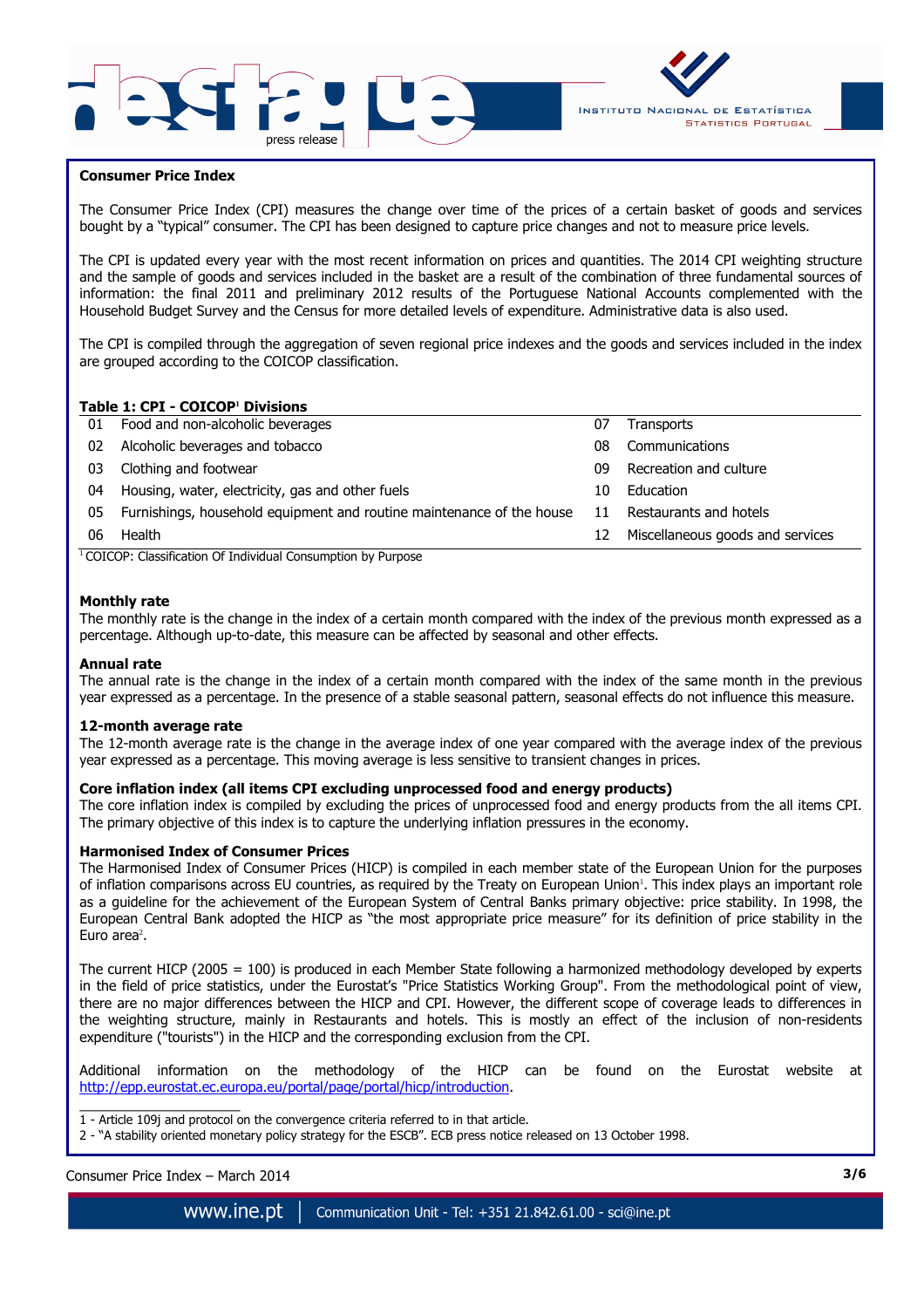



## **Consumer Price Index**

I

The Consumer Price Index (CPI) measures the change over time of the prices of a certain basket of goods and services bought by a "typical" consumer. The CPI has been designed to capture price changes and not to measure price levels.

The CPI is updated every year with the most recent information on prices and quantities. The 2014 CPI weighting structure and the sample of goods and services included in the basket are a result of the combination of three fundamental sources of information: the final 2011 and preliminary 2012 results of the Portuguese National Accounts complemented with the Household Budget Survey and the Census for more detailed levels of expenditure. Administrative data is also used.

The CPI is compiled through the aggregation of seven regional price indexes and the goods and services included in the index are grouped according to the COICOP classification.

## **Table 1: CPI - COICOP<sup>1</sup> Divisions**

| 01 | Food and non-alcoholic beverages                                      | 07 | <b>Transports</b>                |
|----|-----------------------------------------------------------------------|----|----------------------------------|
| 02 | Alcoholic beverages and tobacco                                       | 08 | Communications                   |
| 03 | Clothing and footwear                                                 | 09 | Recreation and culture           |
| 04 | Housing, water, electricity, gas and other fuels                      | 10 | Education                        |
| 05 | Furnishings, household equipment and routine maintenance of the house | 11 | Restaurants and hotels           |
| 06 | Health                                                                | 12 | Miscellaneous goods and services |
|    | $\cdots$<br>$\cdots$<br>$\sim$                                        |    |                                  |

<sup>1</sup> COICOP: Classification Of Individual Consumption by Purpose

## **Monthly rate**

The monthly rate is the change in the index of a certain month compared with the index of the previous month expressed as a percentage. Although up-to-date, this measure can be affected by seasonal and other effects.

#### **Annual rate**

The annual rate is the change in the index of a certain month compared with the index of the same month in the previous year expressed as a percentage. In the presence of a stable seasonal pattern, seasonal effects do not influence this measure.

#### **12-month average rate**

The 12-month average rate is the change in the average index of one year compared with the average index of the previous year expressed as a percentage. This moving average is less sensitive to transient changes in prices.

#### **Core inflation index (all items CPI excluding unprocessed food and energy products)**

The core inflation index is compiled by excluding the prices of unprocessed food and energy products from the all items CPI. The primary objective of this index is to capture the underlying inflation pressures in the economy.

#### **Harmonised Index of Consumer Prices**

The Harmonised Index of Consumer Prices (HICP) is compiled in each member state of the European Union for the purposes of inflation comparisons across EU countries, as required by the Treaty on European Union'. This index plays an important role as a guideline for the achievement of the European System of Central Banks primary objective: price stability. In 1998, the European Central Bank adopted the HICP as "the most appropriate price measure" for its definition of price stability in the Euro area<sup>2</sup>.

The current HICP (2005 = 100) is produced in each Member State following a harmonized methodology developed by experts in the field of price statistics, under the Eurostat's "Price Statistics Working Group". From the methodological point of view, there are no major differences between the HICP and CPI. However, the different scope of coverage leads to differences in the weighting structure, mainly in Restaurants and hotels. This is mostly an effect of the inclusion of non-residents expenditure ("tourists") in the HICP and the corresponding exclusion from the CPI.

Additional information on the methodology of the HICP can be found on the Eurostat website at http://epp.eurostat.ec.europa.eu/portal/page/portal/hicp/introduction.

 $\overline{\phantom{a}}$  , and the set of the set of the set of the set of the set of the set of the set of the set of the set of the set of the set of the set of the set of the set of the set of the set of the set of the set of the s 1 - Article 109j and protocol on the convergence criteria referred to in that article.

2 - "A stability oriented monetary policy strategy for the ESCB". ECB press notice released on 13 October 1998.

Consumer Price Index – March 2014 **3/6**

www.ine.pt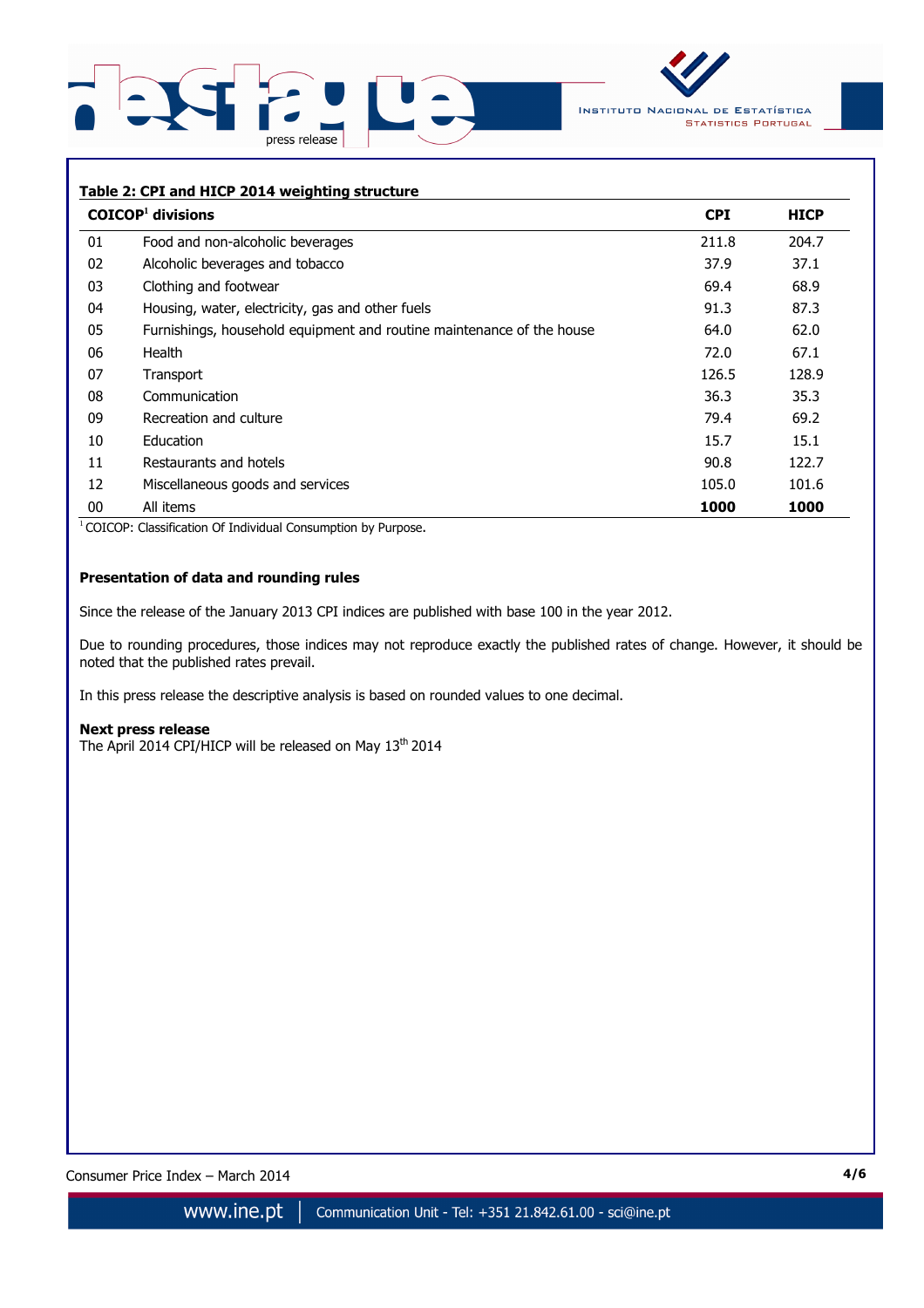



## **Table 2: CPI and HICP 2014 weighting structure**

|    | $COICOP1$ divisions                                                   | <b>CPI</b> | <b>HICP</b> |
|----|-----------------------------------------------------------------------|------------|-------------|
| 01 | Food and non-alcoholic beverages                                      | 211.8      | 204.7       |
| 02 | Alcoholic beverages and tobacco                                       | 37.9       | 37.1        |
| 03 | Clothing and footwear                                                 | 69.4       | 68.9        |
| 04 | Housing, water, electricity, gas and other fuels                      | 91.3       | 87.3        |
| 05 | Furnishings, household equipment and routine maintenance of the house | 64.0       | 62.0        |
| 06 | Health                                                                | 72.0       | 67.1        |
| 07 | Transport                                                             | 126.5      | 128.9       |
| 08 | Communication                                                         | 36.3       | 35.3        |
| 09 | Recreation and culture                                                | 79.4       | 69.2        |
| 10 | <b>Education</b>                                                      | 15.7       | 15.1        |
| 11 | Restaurants and hotels                                                | 90.8       | 122.7       |
| 12 | Miscellaneous goods and services                                      | 105.0      | 101.6       |
| 00 | All items                                                             | 1000       | 1000        |

<sup>1</sup> COICOP: Classification Of Individual Consumption by Purpose.

# **Presentation of data and rounding rules**

Since the release of the January 2013 CPI indices are published with base 100 in the year 2012.

Due to rounding procedures, those indices may not reproduce exactly the published rates of change. However, it should be noted that the published rates prevail.

In this press release the descriptive analysis is based on rounded values to one decimal.

#### **Next press release**

The April 2014 CPI/HICP will be released on May 13<sup>th</sup> 2014

Consumer Price Index – March 2014 **4/6**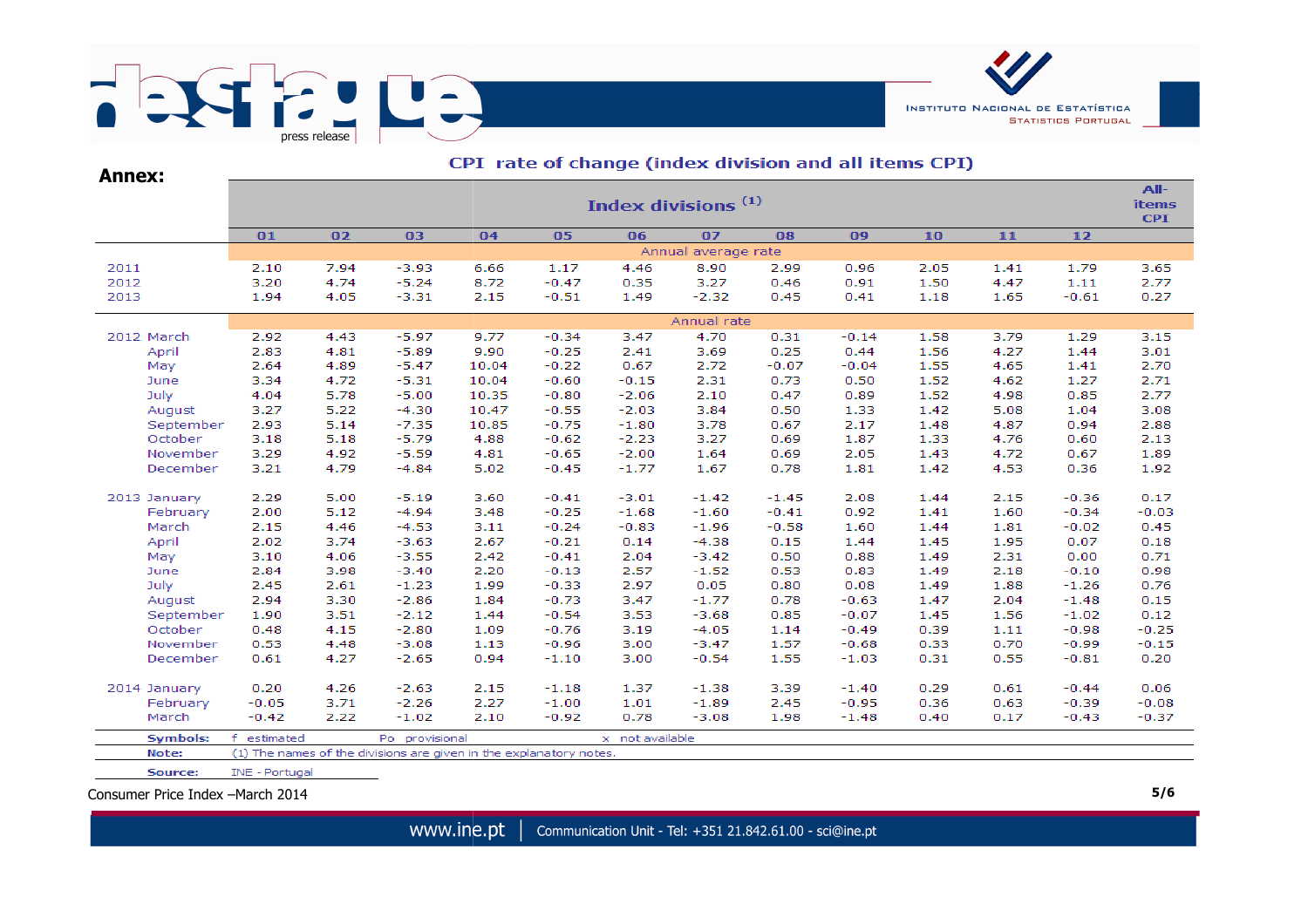

| <b>Annex:</b>   | CPI rate of change (index division and all items CPI) |                                |                |                                                                    |         |                 |                     |         |         |      |      |         |         |  |  |  |
|-----------------|-------------------------------------------------------|--------------------------------|----------------|--------------------------------------------------------------------|---------|-----------------|---------------------|---------|---------|------|------|---------|---------|--|--|--|
|                 |                                                       | Index divisions <sup>(1)</sup> |                |                                                                    |         |                 |                     |         |         |      |      |         |         |  |  |  |
|                 | 01                                                    | 02                             | 03             | 04                                                                 | 05      | 06              | 07                  | 08      | 09      | 10   | 11   | 12      |         |  |  |  |
|                 |                                                       |                                |                |                                                                    |         |                 | Annual average rate |         |         |      |      |         |         |  |  |  |
| 2011            | 2.10                                                  | 7.94                           | $-3.93$        | 6.66                                                               | 1.17    | 4.46            | 8.90                | 2.99    | 0.96    | 2.05 | 1.41 | 1.79    | 3.65    |  |  |  |
| 2012            | 3.20                                                  | 4.74                           | $-5.24$        | 8.72                                                               | $-0.47$ | 0.35            | 3.27                | 0.46    | 0.91    | 1.50 | 4.47 | 1.11    | 2.77    |  |  |  |
| 2013            | 1.94                                                  | 4.05                           | $-3.31$        | 2.15                                                               | $-0.51$ | 1.49            | $-2.32$             | 0.45    | 0.41    | 1.18 | 1.65 | $-0.61$ | 0.27    |  |  |  |
|                 | Annual rate                                           |                                |                |                                                                    |         |                 |                     |         |         |      |      |         |         |  |  |  |
| 2012 March      | 2.92                                                  | 4.43                           | $-5.97$        | 9.77                                                               | $-0.34$ | 3.47            | 4.70                | 0.31    | $-0.14$ | 1.58 | 3.79 | 1.29    | 3.15    |  |  |  |
| April           | 2.83                                                  | 4.81                           | $-5.89$        | 9.90                                                               | $-0.25$ | 2.41            | 3.69                | 0.25    | 0.44    | 1.56 | 4.27 | 1.44    | 3.01    |  |  |  |
| May             | 2.64                                                  | 4.89                           | $-5.47$        | 10.04                                                              | $-0.22$ | 0.67            | 2.72                | $-0.07$ | $-0.04$ | 1.55 | 4.65 | 1.41    | 2.70    |  |  |  |
| June            | 3.34                                                  | 4.72                           | $-5.31$        | 10.04                                                              | $-0.60$ | $-0.15$         | 2.31                | 0.73    | 0.50    | 1.52 | 4.62 | 1.27    | 2.71    |  |  |  |
| July            | 4.04                                                  | 5.78                           | $-5.00$        | 10.35                                                              | $-0.80$ | $-2.06$         | 2.10                | 0.47    | 0.89    | 1.52 | 4.98 | 0.85    | 2.77    |  |  |  |
| August          | 3.27                                                  | 5.22                           | $-4.30$        | 10.47                                                              | $-0.55$ | $-2.03$         | 3.84                | 0.50    | 1.33    | 1.42 | 5.08 | 1.04    | 3.08    |  |  |  |
| September       | 2.93                                                  | 5.14                           | $-7.35$        | 10.85                                                              | $-0.75$ | $-1.80$         | 3.78                | 0.67    | 2.17    | 1.48 | 4.87 | 0.94    | 2.88    |  |  |  |
| October         | 3.18                                                  | 5.18                           | $-5.79$        | 4.88                                                               | $-0.62$ | $-2.23$         | 3.27                | 0.69    | 1.87    | 1.33 | 4.76 | 0.60    | 2.13    |  |  |  |
| November        | 3.29                                                  | 4.92                           | $-5.59$        | 4.81                                                               | $-0.65$ | $-2.00$         | 1.64                | 0.69    | 2.05    | 1.43 | 4.72 | 0.67    | 1.89    |  |  |  |
| December        | 3.21                                                  | 4.79                           | $-4.84$        | 5.02                                                               | $-0.45$ | $-1.77$         | 1.67                | 0.78    | 1.81    | 1.42 | 4.53 | 0.36    | 1.92    |  |  |  |
| 2013 January    | 2.29                                                  | 5.00                           | $-5.19$        | 3.60                                                               | $-0.41$ | $-3.01$         | $-1.42$             | $-1.45$ | 2.08    | 1.44 | 2.15 | $-0.36$ | 0.17    |  |  |  |
| February        | 2.00                                                  | 5.12                           | $-4.94$        | 3.48                                                               | $-0.25$ | $-1.68$         | $-1.60$             | $-0.41$ | 0.92    | 1.41 | 1.60 | $-0.34$ | $-0.03$ |  |  |  |
| March           | 2.15                                                  | 4.46                           | $-4.53$        | 3.11                                                               | $-0.24$ | $-0.83$         | $-1.96$             | $-0.58$ | 1.60    | 1.44 | 1.81 | $-0.02$ | 0.45    |  |  |  |
| April           | 2.02                                                  | 3.74                           | $-3.63$        | 2.67                                                               | $-0.21$ | 0.14            | $-4.38$             | 0.15    | 1.44    | 1.45 | 1.95 | 0.07    | 0.18    |  |  |  |
| May             | 3.10                                                  | 4.06                           | $-3.55$        | 2.42                                                               | $-0.41$ | 2.04            | $-3.42$             | 0.50    | 0.88    | 1.49 | 2.31 | 0.00    | 0.71    |  |  |  |
| June            | 2.84                                                  | 3.98                           | $-3.40$        | 2.20                                                               | $-0.13$ | 2.57            | $-1.52$             | 0.53    | 0.83    | 1.49 | 2.18 | $-0.10$ | 0.98    |  |  |  |
| July            | 2.45                                                  | 2.61                           | $-1.23$        | 1.99                                                               | $-0.33$ | 2.97            | 0.05                | 0.80    | 0.08    | 1.49 | 1.88 | $-1.26$ | 0.76    |  |  |  |
| August          | 2.94                                                  | 3.30                           | $-2.86$        | 1.84                                                               | $-0.73$ | 3.47            | $-1.77$             | 0.78    | $-0.63$ | 1.47 | 2.04 | $-1.48$ | 0.15    |  |  |  |
| September       | 1.90                                                  | 3.51                           | $-2.12$        | 1.44                                                               | $-0.54$ | 3.53            | $-3.68$             | 0.85    | $-0.07$ | 1.45 | 1.56 | $-1.02$ | 0.12    |  |  |  |
| October         | 0.48                                                  | 4.15                           | $-2.80$        | 1.09                                                               | $-0.76$ | 3.19            | $-4.05$             | 1.14    | $-0.49$ | 0.39 | 1.11 | $-0.98$ | $-0.25$ |  |  |  |
| November        | 0.53                                                  | 4.48                           | $-3.08$        | 1.13                                                               | $-0.96$ | 3.00            | $-3.47$             | 1.57    | $-0.68$ | 0.33 | 0.70 | $-0.99$ | $-0.15$ |  |  |  |
| December        | 0.61                                                  | 4.27                           | $-2.65$        | 0.94                                                               | $-1.10$ | 3.00            | $-0.54$             | 1.55    | $-1.03$ | 0.31 | 0.55 | $-0.81$ | 0.20    |  |  |  |
| 2014 January    | 0.20                                                  | 4.26                           | $-2.63$        | 2.15                                                               | $-1.18$ | 1.37            | $-1.38$             | 3.39    | $-1.40$ | 0.29 | 0.61 | $-0.44$ | 0.06    |  |  |  |
| February        | $-0.05$                                               | 3.71                           | $-2.26$        | 2.27                                                               | $-1.00$ | 1.01            | $-1.89$             | 2.45    | $-0.95$ | 0.36 | 0.63 | $-0.39$ | $-0.08$ |  |  |  |
| March           | $-0.42$                                               | 2.22                           | $-1.02$        | 2.10                                                               | $-0.92$ | 0.78            | $-3.08$             | 1.98    | $-1.48$ | 0.40 | 0.17 | $-0.43$ | $-0.37$ |  |  |  |
| <b>Symbols:</b> | f.<br>estimated                                       |                                | Po provisional |                                                                    |         | x not available |                     |         |         |      |      |         |         |  |  |  |
| Note:           |                                                       |                                |                | (1) The names of the divisions are given in the explanatory notes. |         |                 |                     |         |         |      |      |         |         |  |  |  |
| Source:         | INE - Portugal                                        |                                |                |                                                                    |         |                 |                     |         |         |      |      |         |         |  |  |  |

Consumer Price Index –March 2014

www.ine.pt | Communication Unit - Tel: +351 21.842.61.00 - sci@ine.pt **5/6**

**INSTITUTO NACIONAL DE ESTATÍSTICA** 

**STATISTICS PORTUGAL**